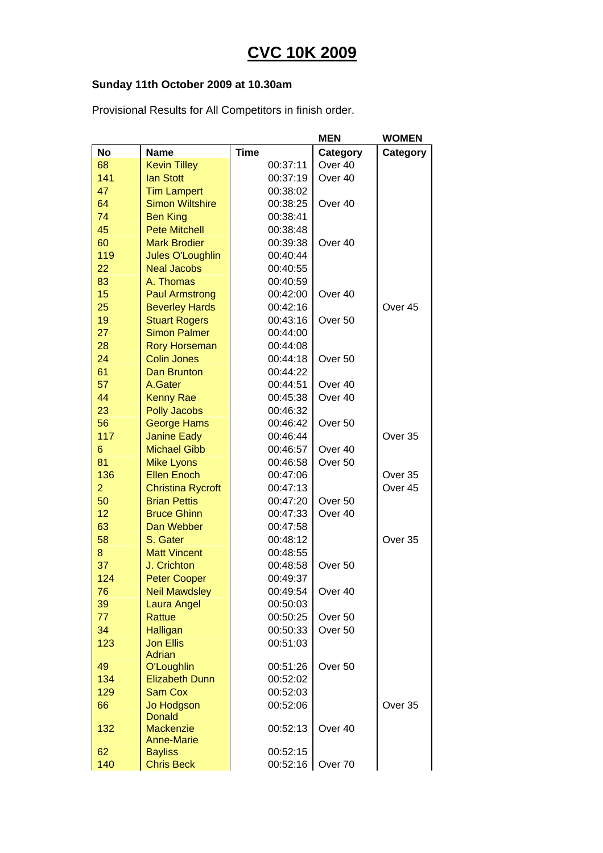## **CVC 10K 2009**

## **Sunday 11th October 2009 at 10.30am**

Provisional Results for All Competitors in finish order.

|                |                                     |                      | <b>MEN</b>         | <b>WOMEN</b> |
|----------------|-------------------------------------|----------------------|--------------------|--------------|
| <b>No</b>      | <b>Name</b>                         | <b>Time</b>          | Category           | Category     |
| 68             | <b>Kevin Tilley</b>                 | 00:37:11             | Over 40            |              |
| 141            | <b>lan Stott</b>                    | 00:37:19             | Over 40            |              |
| 47             | <b>Tim Lampert</b>                  | 00:38:02             |                    |              |
| 64             | <b>Simon Wiltshire</b>              | 00:38:25             | Over 40            |              |
| 74             | <b>Ben King</b>                     | 00:38:41             |                    |              |
| 45             | <b>Pete Mitchell</b>                | 00:38:48             |                    |              |
| 60             | <b>Mark Brodier</b>                 | 00:39:38             | Over 40            |              |
| 119            | <b>Jules O'Loughlin</b>             | 00:40:44             |                    |              |
| 22             | <b>Neal Jacobs</b>                  | 00:40:55             |                    |              |
| 83             | A. Thomas                           | 00:40:59             |                    |              |
| 15             | <b>Paul Armstrong</b>               | 00:42:00             | Over 40            |              |
| 25             | <b>Beverley Hards</b>               | 00:42:16             |                    | Over 45      |
| 19             | <b>Stuart Rogers</b>                | 00:43:16             | Over <sub>50</sub> |              |
| 27             | <b>Simon Palmer</b>                 | 00:44:00             |                    |              |
| 28             | <b>Rory Horseman</b>                | 00:44:08             |                    |              |
| 24             | <b>Colin Jones</b>                  | 00:44:18             | Over 50            |              |
| 61             | <b>Dan Brunton</b>                  | 00:44:22             |                    |              |
| 57             | A.Gater                             | 00:44:51             | Over 40            |              |
| 44             | <b>Kenny Rae</b>                    | 00:45:38             | Over 40            |              |
| 23             | <b>Polly Jacobs</b>                 | 00:46:32             |                    |              |
| 56             | <b>George Hams</b>                  | 00:46:42             | Over 50            |              |
| 117            | <b>Janine Eady</b>                  | 00:46:44             |                    | Over 35      |
| 6              | <b>Michael Gibb</b>                 | 00:46:57             | Over 40            |              |
| 81             | <b>Mike Lyons</b>                   | 00:46:58             | Over <sub>50</sub> |              |
| 136            | <b>Ellen Enoch</b>                  | 00:47:06             |                    | Over 35      |
| $\overline{2}$ | <b>Christina Rycroft</b>            | 00:47:13             |                    | Over 45      |
| 50             | <b>Brian Pettis</b>                 | 00:47:20             | Over <sub>50</sub> |              |
| 12             | <b>Bruce Ghinn</b>                  | 00:47:33             | Over <sub>40</sub> |              |
| 63             | Dan Webber                          | 00:47:58             |                    |              |
| 58             | S. Gater                            | 00:48:12             |                    | Over 35      |
| 8              | <b>Matt Vincent</b>                 | 00:48:55             |                    |              |
| 37             | J. Crichton                         | 00:48:58             | Over <sub>50</sub> |              |
| 124            | <b>Peter Cooper</b>                 | 00:49:37             |                    |              |
| 76<br>39       | Neil Mawdsley                       | 00:49:54<br>00:50:03 | Over 40            |              |
| 77             | <b>Laura Angel</b><br><b>Rattue</b> | 00:50:25             | Over 50            |              |
| 34             | Halligan                            | 00:50:33             | Over 50            |              |
| 123            | <b>Jon Ellis</b>                    | 00:51:03             |                    |              |
|                | Adrian                              |                      |                    |              |
| 49             | O'Loughlin                          | 00:51:26             | Over <sub>50</sub> |              |
| 134            | <b>Elizabeth Dunn</b>               | 00:52:02             |                    |              |
| 129            | <b>Sam Cox</b>                      | 00:52:03             |                    |              |
| 66             | Jo Hodgson                          | 00:52:06             |                    | Over 35      |
|                | <b>Donald</b>                       |                      |                    |              |
| 132            | <b>Mackenzie</b>                    | 00:52:13             | Over 40            |              |
| 62             | <b>Anne-Marie</b><br><b>Bayliss</b> | 00:52:15             |                    |              |
| 140            | <b>Chris Beck</b>                   | 00:52:16             | Over 70            |              |
|                |                                     |                      |                    |              |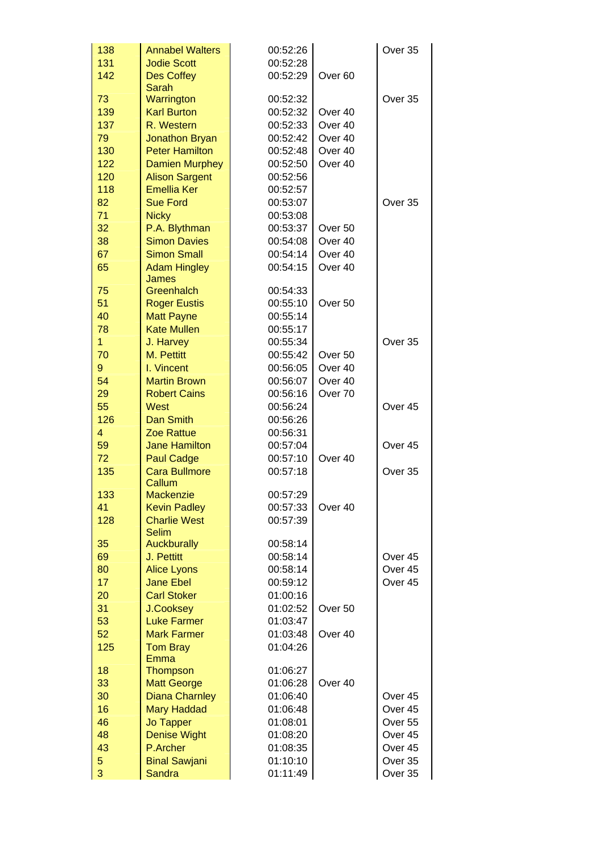| 138         | <b>Annabel Walters</b>                  | 00:52:26             |                    | Over 35            |
|-------------|-----------------------------------------|----------------------|--------------------|--------------------|
| 131         | <b>Jodie Scott</b>                      | 00:52:28             |                    |                    |
| 142         | <b>Des Coffey</b>                       | 00:52:29             | Over <sub>60</sub> |                    |
|             | Sarah                                   |                      |                    |                    |
| 73          | Warrington                              | 00:52:32             |                    | Over 35            |
| 139         | <b>Karl Burton</b>                      | 00:52:32             | Over 40            |                    |
| 137         | R. Western                              | 00:52:33             | Over 40            |                    |
| 79          | <b>Jonathon Bryan</b>                   | 00:52:42             | Over 40            |                    |
| 130         | <b>Peter Hamilton</b>                   | 00:52:48             | Over 40            |                    |
| 122         | <b>Damien Murphey</b>                   | 00:52:50             | Over 40            |                    |
| 120         | <b>Alison Sargent</b>                   | 00:52:56             |                    |                    |
| 118         | <b>Emellia Ker</b>                      | 00:52:57             |                    |                    |
| 82          | <b>Sue Ford</b>                         | 00:53:07             |                    | Over 35            |
| 71          | <b>Nicky</b>                            | 00:53:08             |                    |                    |
| 32          | P.A. Blythman                           | 00:53:37             | Over 50            |                    |
| 38          | <b>Simon Davies</b>                     | 00:54:08             | Over 40            |                    |
| 67          | <b>Simon Small</b>                      | 00:54:14             | Over 40            |                    |
| 65          | <b>Adam Hingley</b>                     | 00:54:15             | Over 40            |                    |
|             | <b>James</b>                            |                      |                    |                    |
| 75          | Greenhalch                              | 00:54:33             |                    |                    |
| 51          | <b>Roger Eustis</b>                     | 00:55:10             | Over <sub>50</sub> |                    |
| 40<br>78    | <b>Matt Payne</b><br><b>Kate Mullen</b> | 00:55:14<br>00:55:17 |                    |                    |
| 1           |                                         | 00:55:34             |                    | Over 35            |
| 70          | J. Harvey<br>M. Pettitt                 | 00:55:42             | Over 50            |                    |
| $\mathbf 9$ | I. Vincent                              | 00:56:05             | Over 40            |                    |
| 54          | <b>Martin Brown</b>                     | 00:56:07             | Over 40            |                    |
| 29          | <b>Robert Cains</b>                     | 00:56:16             | Over 70            |                    |
| 55          | <b>West</b>                             | 00:56:24             |                    | Over 45            |
| 126         | <b>Dan Smith</b>                        | 00:56:26             |                    |                    |
| 4           | <b>Zoe Rattue</b>                       | 00:56:31             |                    |                    |
| 59          | <b>Jane Hamilton</b>                    | 00:57:04             |                    | Over 45            |
| 72          | <b>Paul Cadge</b>                       | 00:57:10             | Over <sub>40</sub> |                    |
| 135         | <b>Cara Bullmore</b>                    | 00:57:18             |                    | Over 35            |
|             | Callum                                  |                      |                    |                    |
| 133         | <b>Mackenzie</b>                        | 00:57:29             |                    |                    |
| 41          | <b>Kevin Padley</b>                     | 00:57:33             | Over 40            |                    |
| 128         | <b>Charlie West</b>                     | 00:57:39             |                    |                    |
|             | Selim<br><b>Auckburally</b>             | 00:58:14             |                    |                    |
| 35<br>69    | J. Pettitt                              | 00:58:14             |                    | Over 45            |
| 80          | <b>Alice Lyons</b>                      | 00:58:14             |                    | Over <sub>45</sub> |
| 17          | <b>Jane Ebel</b>                        | 00:59:12             |                    | Over 45            |
| 20          | <b>Carl Stoker</b>                      | 01:00:16             |                    |                    |
| 31          | <b>J.Cooksey</b>                        | 01:02:52             | Over <sub>50</sub> |                    |
| 53          | <b>Luke Farmer</b>                      | 01:03:47             |                    |                    |
| 52          | <b>Mark Farmer</b>                      | 01:03:48             | Over 40            |                    |
| 125         | <b>Tom Bray</b>                         | 01:04:26             |                    |                    |
|             | <b>Emma</b>                             |                      |                    |                    |
| 18          | <b>Thompson</b>                         | 01:06:27             |                    |                    |
| 33          | <b>Matt George</b>                      | 01:06:28             | Over 40            |                    |
| 30          | <b>Diana Charnley</b>                   | 01:06:40             |                    | Over 45            |
| 16          | <b>Mary Haddad</b>                      | 01:06:48             |                    | Over 45            |
| 46          | <b>Jo Tapper</b>                        | 01:08:01             |                    | Over <sub>55</sub> |
| 48          | <b>Denise Wight</b>                     | 01:08:20             |                    | Over 45            |
| 43          | P.Archer                                | 01:08:35             |                    | Over 45            |
| 5           | <b>Binal Sawjani</b>                    | 01:10:10             |                    | Over 35            |
| 3           | <b>Sandra</b>                           | 01:11:49             |                    | Over 35            |